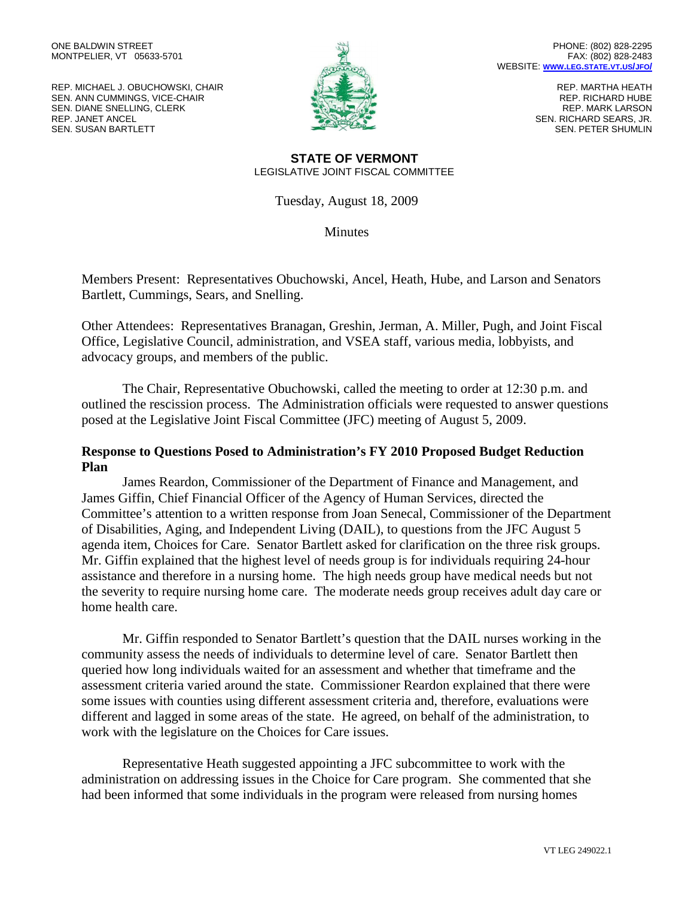REP. MICHAEL J. OBUCHOWSKI, CHAIR SEN. ANN CUMMINGS, VICE-CHAIR SEN. DIANE SNELLING, CLERK REP. JANET ANCEL SEN. SUSAN BARTLETT



REP. MARTHA HEATH REP. RICHARD HUBE REP. MARK LARSON SEN. RICHARD SEARS, JR. SEN. PETER SHUMLIN

## **STATE OF VERMONT** LEGISLATIVE JOINT FISCAL COMMITTEE

Tuesday, August 18, 2009

**Minutes** 

Members Present: Representatives Obuchowski, Ancel, Heath, Hube, and Larson and Senators Bartlett, Cummings, Sears, and Snelling.

Other Attendees: Representatives Branagan, Greshin, Jerman, A. Miller, Pugh, and Joint Fiscal Office, Legislative Council, administration, and VSEA staff, various media, lobbyists, and advocacy groups, and members of the public.

The Chair, Representative Obuchowski, called the meeting to order at 12:30 p.m. and outlined the rescission process. The Administration officials were requested to answer questions posed at the Legislative Joint Fiscal Committee (JFC) meeting of August 5, 2009.

## **Response to Questions Posed to Administration's FY 2010 Proposed Budget Reduction Plan**

James Reardon, Commissioner of the Department of Finance and Management, and James Giffin, Chief Financial Officer of the Agency of Human Services, directed the Committee's attention to a written response from Joan Senecal, Commissioner of the Department of Disabilities, Aging, and Independent Living (DAIL), to questions from the JFC August 5 agenda item, Choices for Care. Senator Bartlett asked for clarification on the three risk groups. Mr. Giffin explained that the highest level of needs group is for individuals requiring 24-hour assistance and therefore in a nursing home. The high needs group have medical needs but not the severity to require nursing home care. The moderate needs group receives adult day care or home health care.

Mr. Giffin responded to Senator Bartlett's question that the DAIL nurses working in the community assess the needs of individuals to determine level of care. Senator Bartlett then queried how long individuals waited for an assessment and whether that timeframe and the assessment criteria varied around the state. Commissioner Reardon explained that there were some issues with counties using different assessment criteria and, therefore, evaluations were different and lagged in some areas of the state. He agreed, on behalf of the administration, to work with the legislature on the Choices for Care issues.

Representative Heath suggested appointing a JFC subcommittee to work with the administration on addressing issues in the Choice for Care program. She commented that she had been informed that some individuals in the program were released from nursing homes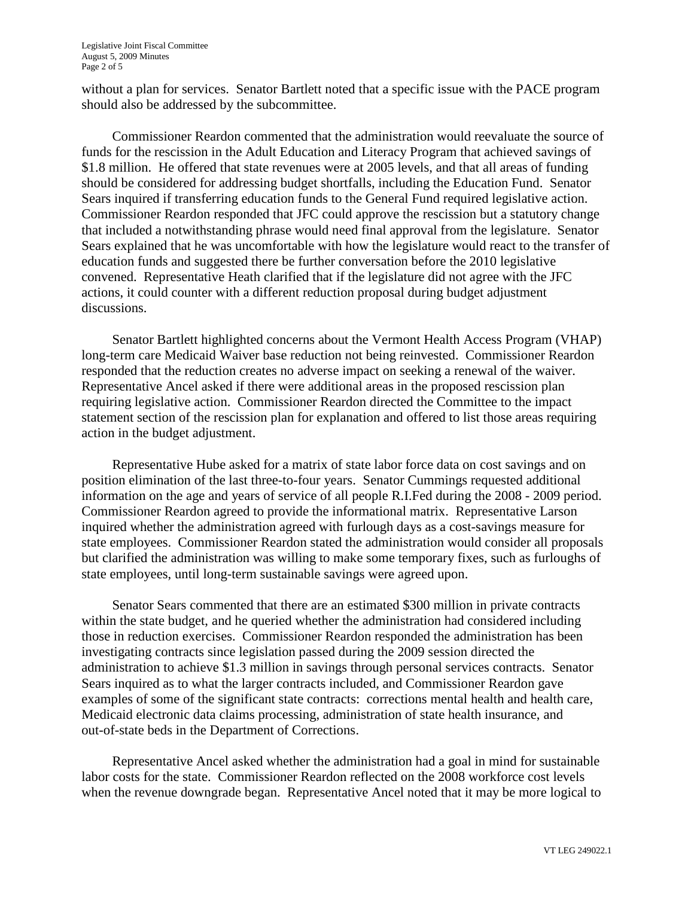without a plan for services. Senator Bartlett noted that a specific issue with the PACE program should also be addressed by the subcommittee.

Commissioner Reardon commented that the administration would reevaluate the source of funds for the rescission in the Adult Education and Literacy Program that achieved savings of \$1.8 million. He offered that state revenues were at 2005 levels, and that all areas of funding should be considered for addressing budget shortfalls, including the Education Fund. Senator Sears inquired if transferring education funds to the General Fund required legislative action. Commissioner Reardon responded that JFC could approve the rescission but a statutory change that included a notwithstanding phrase would need final approval from the legislature. Senator Sears explained that he was uncomfortable with how the legislature would react to the transfer of education funds and suggested there be further conversation before the 2010 legislative convened. Representative Heath clarified that if the legislature did not agree with the JFC actions, it could counter with a different reduction proposal during budget adjustment discussions.

Senator Bartlett highlighted concerns about the Vermont Health Access Program (VHAP) long-term care Medicaid Waiver base reduction not being reinvested. Commissioner Reardon responded that the reduction creates no adverse impact on seeking a renewal of the waiver. Representative Ancel asked if there were additional areas in the proposed rescission plan requiring legislative action. Commissioner Reardon directed the Committee to the impact statement section of the rescission plan for explanation and offered to list those areas requiring action in the budget adjustment.

Representative Hube asked for a matrix of state labor force data on cost savings and on position elimination of the last three-to-four years. Senator Cummings requested additional information on the age and years of service of all people R.I.Fed during the 2008 - 2009 period. Commissioner Reardon agreed to provide the informational matrix. Representative Larson inquired whether the administration agreed with furlough days as a cost-savings measure for state employees. Commissioner Reardon stated the administration would consider all proposals but clarified the administration was willing to make some temporary fixes, such as furloughs of state employees, until long-term sustainable savings were agreed upon.

Senator Sears commented that there are an estimated \$300 million in private contracts within the state budget, and he queried whether the administration had considered including those in reduction exercises. Commissioner Reardon responded the administration has been investigating contracts since legislation passed during the 2009 session directed the administration to achieve \$1.3 million in savings through personal services contracts. Senator Sears inquired as to what the larger contracts included, and Commissioner Reardon gave examples of some of the significant state contracts: corrections mental health and health care, Medicaid electronic data claims processing, administration of state health insurance, and out-of-state beds in the Department of Corrections.

Representative Ancel asked whether the administration had a goal in mind for sustainable labor costs for the state. Commissioner Reardon reflected on the 2008 workforce cost levels when the revenue downgrade began. Representative Ancel noted that it may be more logical to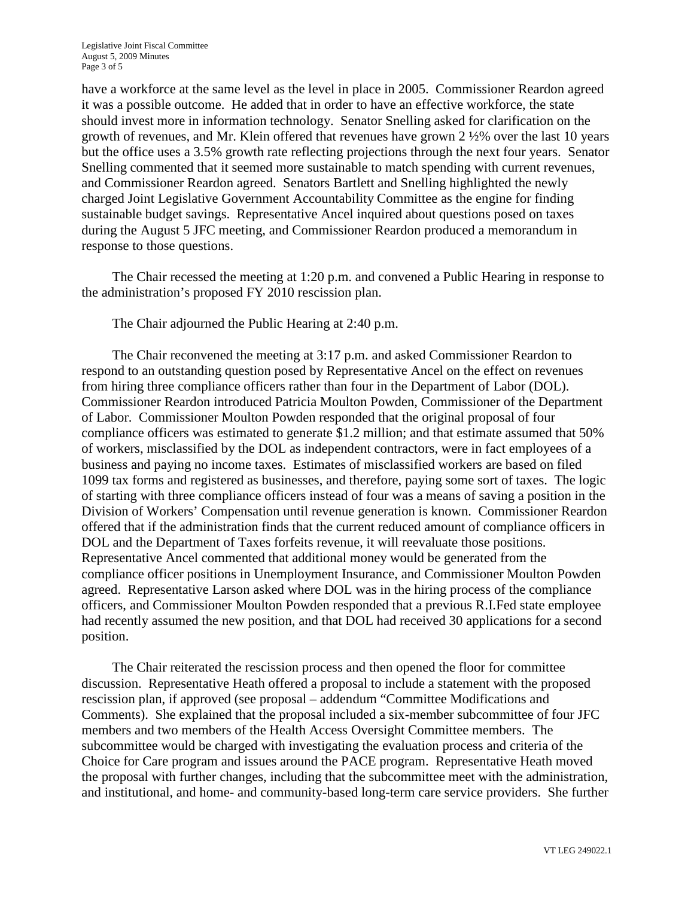have a workforce at the same level as the level in place in 2005. Commissioner Reardon agreed it was a possible outcome. He added that in order to have an effective workforce, the state should invest more in information technology. Senator Snelling asked for clarification on the growth of revenues, and Mr. Klein offered that revenues have grown 2 ½% over the last 10 years but the office uses a 3.5% growth rate reflecting projections through the next four years. Senator Snelling commented that it seemed more sustainable to match spending with current revenues, and Commissioner Reardon agreed. Senators Bartlett and Snelling highlighted the newly charged Joint Legislative Government Accountability Committee as the engine for finding sustainable budget savings. Representative Ancel inquired about questions posed on taxes during the August 5 JFC meeting, and Commissioner Reardon produced a memorandum in response to those questions.

The Chair recessed the meeting at 1:20 p.m. and convened a Public Hearing in response to the administration's proposed FY 2010 rescission plan.

The Chair adjourned the Public Hearing at 2:40 p.m.

The Chair reconvened the meeting at 3:17 p.m. and asked Commissioner Reardon to respond to an outstanding question posed by Representative Ancel on the effect on revenues from hiring three compliance officers rather than four in the Department of Labor (DOL). Commissioner Reardon introduced Patricia Moulton Powden, Commissioner of the Department of Labor. Commissioner Moulton Powden responded that the original proposal of four compliance officers was estimated to generate \$1.2 million; and that estimate assumed that 50% of workers, misclassified by the DOL as independent contractors, were in fact employees of a business and paying no income taxes. Estimates of misclassified workers are based on filed 1099 tax forms and registered as businesses, and therefore, paying some sort of taxes. The logic of starting with three compliance officers instead of four was a means of saving a position in the Division of Workers' Compensation until revenue generation is known. Commissioner Reardon offered that if the administration finds that the current reduced amount of compliance officers in DOL and the Department of Taxes forfeits revenue, it will reevaluate those positions. Representative Ancel commented that additional money would be generated from the compliance officer positions in Unemployment Insurance, and Commissioner Moulton Powden agreed. Representative Larson asked where DOL was in the hiring process of the compliance officers, and Commissioner Moulton Powden responded that a previous R.I.Fed state employee had recently assumed the new position, and that DOL had received 30 applications for a second position.

The Chair reiterated the rescission process and then opened the floor for committee discussion. Representative Heath offered a proposal to include a statement with the proposed rescission plan, if approved (see proposal – addendum "Committee Modifications and Comments). She explained that the proposal included a six-member subcommittee of four JFC members and two members of the Health Access Oversight Committee members. The subcommittee would be charged with investigating the evaluation process and criteria of the Choice for Care program and issues around the PACE program. Representative Heath moved the proposal with further changes, including that the subcommittee meet with the administration, and institutional, and home- and community-based long-term care service providers. She further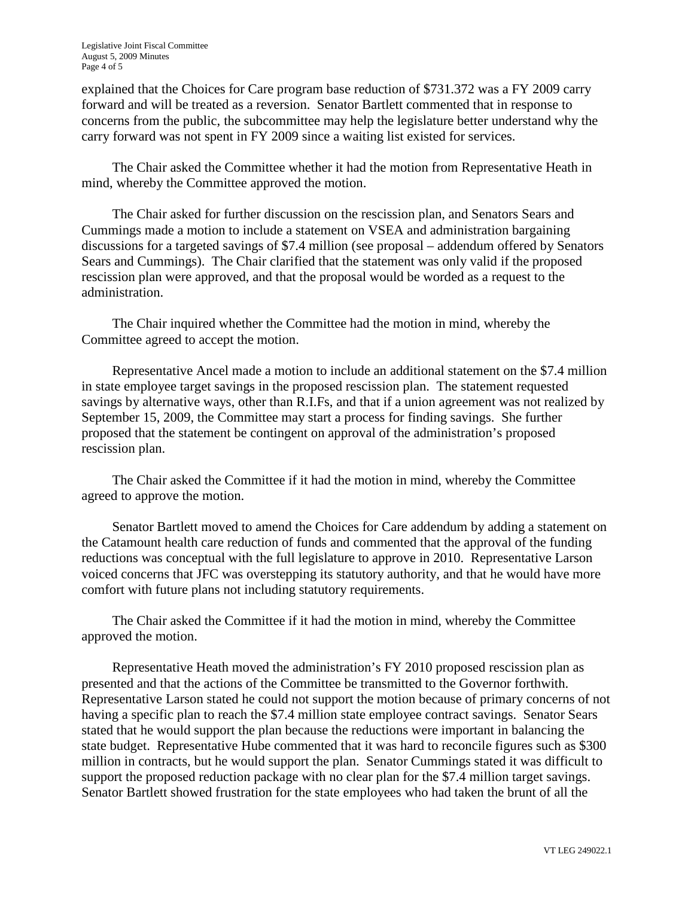explained that the Choices for Care program base reduction of \$731.372 was a FY 2009 carry forward and will be treated as a reversion. Senator Bartlett commented that in response to concerns from the public, the subcommittee may help the legislature better understand why the carry forward was not spent in FY 2009 since a waiting list existed for services.

The Chair asked the Committee whether it had the motion from Representative Heath in mind, whereby the Committee approved the motion.

The Chair asked for further discussion on the rescission plan, and Senators Sears and Cummings made a motion to include a statement on VSEA and administration bargaining discussions for a targeted savings of \$7.4 million (see proposal – addendum offered by Senators Sears and Cummings). The Chair clarified that the statement was only valid if the proposed rescission plan were approved, and that the proposal would be worded as a request to the administration.

The Chair inquired whether the Committee had the motion in mind, whereby the Committee agreed to accept the motion.

Representative Ancel made a motion to include an additional statement on the \$7.4 million in state employee target savings in the proposed rescission plan. The statement requested savings by alternative ways, other than R.I.Fs, and that if a union agreement was not realized by September 15, 2009, the Committee may start a process for finding savings. She further proposed that the statement be contingent on approval of the administration's proposed rescission plan.

The Chair asked the Committee if it had the motion in mind, whereby the Committee agreed to approve the motion.

Senator Bartlett moved to amend the Choices for Care addendum by adding a statement on the Catamount health care reduction of funds and commented that the approval of the funding reductions was conceptual with the full legislature to approve in 2010. Representative Larson voiced concerns that JFC was overstepping its statutory authority, and that he would have more comfort with future plans not including statutory requirements.

The Chair asked the Committee if it had the motion in mind, whereby the Committee approved the motion.

Representative Heath moved the administration's FY 2010 proposed rescission plan as presented and that the actions of the Committee be transmitted to the Governor forthwith. Representative Larson stated he could not support the motion because of primary concerns of not having a specific plan to reach the \$7.4 million state employee contract savings. Senator Sears stated that he would support the plan because the reductions were important in balancing the state budget. Representative Hube commented that it was hard to reconcile figures such as \$300 million in contracts, but he would support the plan. Senator Cummings stated it was difficult to support the proposed reduction package with no clear plan for the \$7.4 million target savings. Senator Bartlett showed frustration for the state employees who had taken the brunt of all the